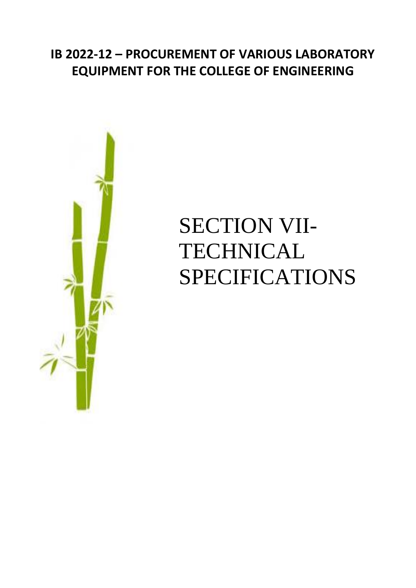# **IB 2022-12 – PROCUREMENT OF VARIOUS LABORATORY EQUIPMENT FOR THE COLLEGE OF ENGINEERING**



# SECTION VII-**TECHNICAL** SPECIFICATIONS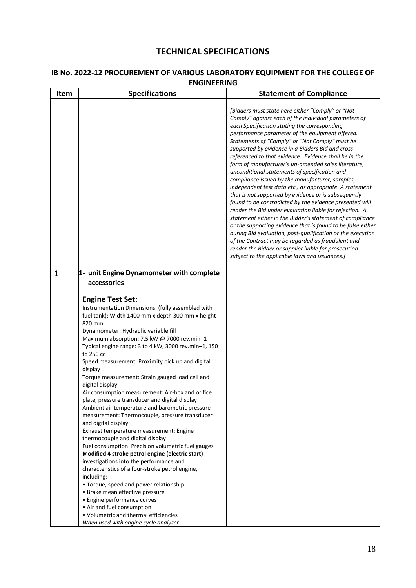## **TECHNICAL SPECIFICATIONS**

| Item         | <b>Specifications</b>                                                                                                                                                                                                                                                                                                                                                                                                                                                                                                                                                                                                                                                                                                                                                                                                                                                                                                                                                                                                                                                                                                                                                                                                             | <b>Statement of Compliance</b>                                                                                                                                                                                                                                                                                                                                                                                                                                                                                                                                                                                                                                                                                                                                                                                                                                                                                                                                                                                                                                                                                                          |
|--------------|-----------------------------------------------------------------------------------------------------------------------------------------------------------------------------------------------------------------------------------------------------------------------------------------------------------------------------------------------------------------------------------------------------------------------------------------------------------------------------------------------------------------------------------------------------------------------------------------------------------------------------------------------------------------------------------------------------------------------------------------------------------------------------------------------------------------------------------------------------------------------------------------------------------------------------------------------------------------------------------------------------------------------------------------------------------------------------------------------------------------------------------------------------------------------------------------------------------------------------------|-----------------------------------------------------------------------------------------------------------------------------------------------------------------------------------------------------------------------------------------------------------------------------------------------------------------------------------------------------------------------------------------------------------------------------------------------------------------------------------------------------------------------------------------------------------------------------------------------------------------------------------------------------------------------------------------------------------------------------------------------------------------------------------------------------------------------------------------------------------------------------------------------------------------------------------------------------------------------------------------------------------------------------------------------------------------------------------------------------------------------------------------|
|              |                                                                                                                                                                                                                                                                                                                                                                                                                                                                                                                                                                                                                                                                                                                                                                                                                                                                                                                                                                                                                                                                                                                                                                                                                                   | [Bidders must state here either "Comply" or "Not<br>Comply" against each of the individual parameters of<br>each Specification stating the corresponding<br>performance parameter of the equipment offered.<br>Statements of "Comply" or "Not Comply" must be<br>supported by evidence in a Bidders Bid and cross-<br>referenced to that evidence. Evidence shall be in the<br>form of manufacturer's un-amended sales literature,<br>unconditional statements of specification and<br>compliance issued by the manufacturer, samples,<br>independent test data etc., as appropriate. A statement<br>that is not supported by evidence or is subsequently<br>found to be contradicted by the evidence presented will<br>render the Bid under evaluation liable for rejection. A<br>statement either in the Bidder's statement of compliance<br>or the supporting evidence that is found to be false either<br>during Bid evaluation, post-qualification or the execution<br>of the Contract may be regarded as fraudulent and<br>render the Bidder or supplier liable for prosecution<br>subject to the applicable laws and issuances.] |
| $\mathbf{1}$ | 1- unit Engine Dynamometer with complete<br>accessories<br><b>Engine Test Set:</b><br>Instrumentation Dimensions: (fully assembled with<br>fuel tank): Width 1400 mm x depth 300 mm x height<br>820 mm<br>Dynamometer: Hydraulic variable fill<br>Maximum absorption: 7.5 kW @ 7000 rev.min-1<br>Typical engine range: 3 to 4 kW, 3000 rev.min-1, 150<br>to 250 cc<br>Speed measurement: Proximity pick up and digital<br>display<br>Torque measurement: Strain gauged load cell and<br>digital display<br>Air consumption measurement: Air-box and orifice<br>plate, pressure transducer and digital display<br>Ambient air temperature and barometric pressure<br>measurement: Thermocouple, pressure transducer<br>and digital display<br>Exhaust temperature measurement: Engine<br>thermocouple and digital display<br>Fuel consumption: Precision volumetric fuel gauges<br>Modified 4 stroke petrol engine (electric start)<br>investigations into the performance and<br>characteristics of a four-stroke petrol engine,<br>including:<br>• Torque, speed and power relationship<br>• Brake mean effective pressure<br>• Engine performance curves<br>• Air and fuel consumption<br>• Volumetric and thermal efficiencies |                                                                                                                                                                                                                                                                                                                                                                                                                                                                                                                                                                                                                                                                                                                                                                                                                                                                                                                                                                                                                                                                                                                                         |

### **IB No. 2022-12 PROCUREMENT OF VARIOUS LABORATORY EQUIPMENT FOR THE COLLEGE OF ENGINEERING**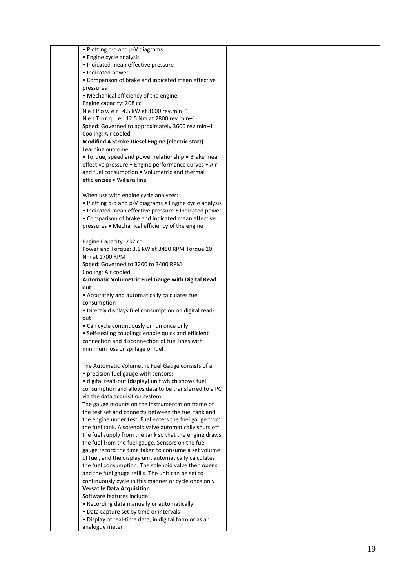| • Plotting p-q and p-V diagrams                         |  |
|---------------------------------------------------------|--|
| • Engine cycle analysis                                 |  |
| · Indicated mean effective pressure                     |  |
| • Indicated power                                       |  |
| • Comparison of brake and indicated mean effective      |  |
| pressures                                               |  |
| • Mechanical efficiency of the engine                   |  |
| Engine capacity: 208 cc                                 |  |
| Net Power: 4.5 kW at 3600 rev.min-1                     |  |
| Net Torque: 12.5 Nm at 2800 rev.min-1                   |  |
| Speed: Governed to approximately 3600 rev.min-1         |  |
| Cooling: Air cooled                                     |  |
| Modified 4 Stroke Diesel Engine (electric start)        |  |
| Learning outcome:                                       |  |
| • Torque, speed and power relationship • Brake mean     |  |
| effective pressure · Engine performance curves · Air    |  |
| and fuel consumption • Volumetric and thermal           |  |
| efficiencies • Willans line                             |  |
|                                                         |  |
| When use with engine cycle analyzer:                    |  |
| • Plotting p-q and p-V diagrams • Engine cycle analysis |  |
| • Indicated mean effective pressure • Indicated power   |  |
| • Comparison of brake and indicated mean effective      |  |
| pressures • Mechanical efficiency of the engine         |  |
|                                                         |  |
| Engine Capacity: 232 cc                                 |  |
| Power and Torque: 3.1 kW at 3450 RPM Torque 10          |  |
| Nm at 1700 RPM                                          |  |
| Speed: Governed to 3200 to 3400 RPM                     |  |
| Cooling: Air cooled                                     |  |
| Automatic Volumetric Fuel Gauge with Digital Read       |  |
| out                                                     |  |
| • Accurately and automatically calculates fuel          |  |
| consumption                                             |  |
| . Directly displays fuel consumption on digital read-   |  |
| out                                                     |  |
| • Can cycle continuously or run once only               |  |
| • Self-sealing couplings enable quick and efficient     |  |
| connection and disconnection of fuel lines with         |  |
| minimum loss or spillage of fuel                        |  |
|                                                         |  |
|                                                         |  |
| The Automatic Volumetric Fuel Gauge consists of a:      |  |
| • precision fuel gauge with sensors;                    |  |
| • digital read-out (display) unit which shows fuel      |  |
| consumption and allows data to be transferred to a PC   |  |
| via the data acquisition system.                        |  |
| The gauge mounts on the instrumentation frame of        |  |
| the test set and connects between the fuel tank and     |  |
| the engine under test. Fuel enters the fuel gauge from  |  |
| the fuel tank. A solenoid valve automatically shuts off |  |
| the fuel supply from the tank so that the engine draws  |  |
| the fuel from the fuel gauge. Sensors on the fuel       |  |
| gauge record the time taken to consume a set volume     |  |
| of fuel, and the display unit automatically calculates  |  |
| the fuel consumption. The solenoid valve then opens     |  |
| and the fuel gauge refills. The unit can be set to      |  |
| continuously cycle in this manner or cycle once only    |  |
| <b>Versatile Data Acquisition</b>                       |  |
| Software features include:                              |  |
| • Recording data manually or automatically              |  |
| • Data capture set by time or intervals                 |  |
| • Display of real-time data, in digital form or as an   |  |
| analogue meter                                          |  |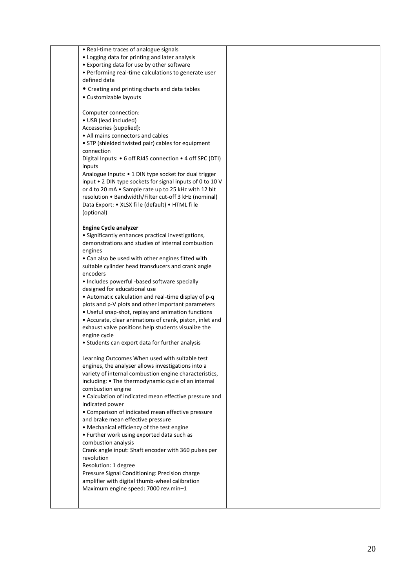| • Real-time traces of analogue signals                    |  |
|-----------------------------------------------------------|--|
| • Logging data for printing and later analysis            |  |
| • Exporting data for use by other software                |  |
| • Performing real-time calculations to generate user      |  |
| defined data                                              |  |
| • Creating and printing charts and data tables            |  |
| • Customizable layouts                                    |  |
|                                                           |  |
| Computer connection:                                      |  |
| • USB (lead included)                                     |  |
| Accessories (supplied):                                   |  |
| • All mains connectors and cables                         |  |
| • STP (shielded twisted pair) cables for equipment        |  |
| connection                                                |  |
| Digital Inputs: • 6 off RJ45 connection • 4 off SPC (DTI) |  |
| inputs                                                    |  |
| Analogue Inputs: • 1 DIN type socket for dual trigger     |  |
| input • 2 DIN type sockets for signal inputs of 0 to 10 V |  |
| or 4 to 20 mA . Sample rate up to 25 kHz with 12 bit      |  |
| resolution • Bandwidth/Filter cut-off 3 kHz (nominal)     |  |
| Data Export: • XLSX fi le (default) • HTML fi le          |  |
| (optional)                                                |  |
|                                                           |  |
| <b>Engine Cycle analyzer</b>                              |  |
| • Significantly enhances practical investigations,        |  |
| demonstrations and studies of internal combustion         |  |
| engines                                                   |  |
| • Can also be used with other engines fitted with         |  |
| suitable cylinder head transducers and crank angle        |  |
| encoders                                                  |  |
| • Includes powerful -based software specially             |  |
| designed for educational use                              |  |
| • Automatic calculation and real-time display of p-q      |  |
| plots and p-V plots and other important parameters        |  |
| • Useful snap-shot, replay and animation functions        |  |
| • Accurate, clear animations of crank, piston, inlet and  |  |
| exhaust valve positions help students visualize the       |  |
| engine cycle                                              |  |
| • Students can export data for further analysis           |  |
|                                                           |  |
| Learning Outcomes When used with suitable test            |  |
| engines, the analyser allows investigations into a        |  |
| variety of internal combustion engine characteristics,    |  |
| including: • The thermodynamic cycle of an internal       |  |
| combustion engine                                         |  |
| • Calculation of indicated mean effective pressure and    |  |
| indicated power                                           |  |
| • Comparison of indicated mean effective pressure         |  |
| and brake mean effective pressure                         |  |
| • Mechanical efficiency of the test engine                |  |
| • Further work using exported data such as                |  |
| combustion analysis                                       |  |
| Crank angle input: Shaft encoder with 360 pulses per      |  |
| revolution                                                |  |
| Resolution: 1 degree                                      |  |
|                                                           |  |
| Pressure Signal Conditioning: Precision charge            |  |
| amplifier with digital thumb-wheel calibration            |  |
| Maximum engine speed: 7000 rev.min-1                      |  |
|                                                           |  |
|                                                           |  |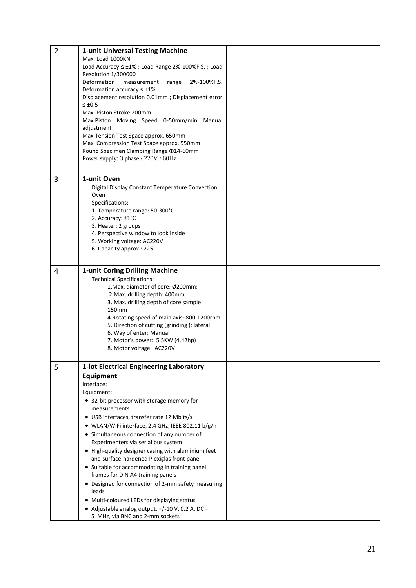| $\overline{2}$ | <b>1-unit Universal Testing Machine</b><br>Max. Load 1000KN<br>Load Accuracy ≤ ±1%; Load Range 2%-100%F.S.; Load<br>Resolution 1/300000<br>Deformation<br>measurement<br>2%-100%F.S.<br>range<br>Deformation accuracy $\leq \pm 1\%$<br>Displacement resolution 0.01mm; Displacement error<br>$\leq \pm 0.5$<br>Max. Piston Stroke 200mm                                                                                                                                                                                                                                                                                                                                                                                                 |  |
|----------------|------------------------------------------------------------------------------------------------------------------------------------------------------------------------------------------------------------------------------------------------------------------------------------------------------------------------------------------------------------------------------------------------------------------------------------------------------------------------------------------------------------------------------------------------------------------------------------------------------------------------------------------------------------------------------------------------------------------------------------------|--|
|                | Max.Piston Moving Speed 0-50mm/min Manual<br>adjustment<br>Max. Tension Test Space approx. 650mm<br>Max. Compression Test Space approx. 550mm<br>Round Specimen Clamping Range @14-60mm<br>Power supply: 3 phase / 220V / 60Hz                                                                                                                                                                                                                                                                                                                                                                                                                                                                                                           |  |
| 3              | 1-unit Oven<br>Digital Display Constant Temperature Convection<br>Oven<br>Specifications:<br>1. Temperature range: 50-300°C<br>2. Accuracy: ±1°C<br>3. Heater: 2 groups<br>4. Perspective window to look inside<br>5. Working voltage: AC220V<br>6. Capacity approx.: 225L                                                                                                                                                                                                                                                                                                                                                                                                                                                               |  |
| $\overline{4}$ | <b>1-unit Coring Drilling Machine</b><br><b>Technical Specifications:</b><br>1. Max. diameter of core: Ø200mm;<br>2. Max. drilling depth: 400mm<br>3. Max. drilling depth of core sample:<br>150mm<br>4. Rotating speed of main axis: 800-1200rpm<br>5. Direction of cutting (grinding): lateral<br>6. Way of enter: Manual<br>7. Motor's power: 5.5KW (4.42hp)<br>8. Motor voltage: AC220V                                                                                                                                                                                                                                                                                                                                              |  |
| 5              | 1-lot Electrical Engineering Laboratory<br>Equipment<br>Interface:<br>Equipment:<br>• 32-bit processor with storage memory for<br>measurements<br>• USB interfaces, transfer rate 12 Mbits/s<br>· WLAN/WiFi interface, 2.4 GHz, IEEE 802.11 b/g/n<br>• Simultaneous connection of any number of<br>Experimenters via serial bus system<br>• High-quality designer casing with aluminium feet<br>and surface-hardened Plexiglas front panel<br>• Suitable for accommodating in training panel<br>frames for DIN A4 training panels<br>• Designed for connection of 2-mm safety measuring<br>leads<br>• Multi-coloured LEDs for displaying status<br>• Adjustable analog output, $+/-10$ V, 0.2 A, DC -<br>5 MHz, via BNC and 2-mm sockets |  |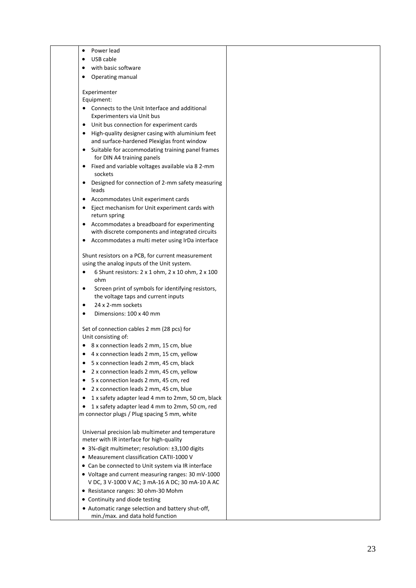| Power lead<br>$\bullet$                                                                                      |  |
|--------------------------------------------------------------------------------------------------------------|--|
| USB cable<br>٠                                                                                               |  |
| with basic software                                                                                          |  |
| Operating manual<br>٠                                                                                        |  |
| Experimenter                                                                                                 |  |
| Equipment:                                                                                                   |  |
| Connects to the Unit Interface and additional<br>Experimenters via Unit bus                                  |  |
| Unit bus connection for experiment cards<br>$\bullet$                                                        |  |
| High-quality designer casing with aluminium feet<br>$\bullet$<br>and surface-hardened Plexiglas front window |  |
| Suitable for accommodating training panel frames<br>٠<br>for DIN A4 training panels                          |  |
| Fixed and variable voltages available via 8 2-mm<br>$\bullet$<br>sockets                                     |  |
| Designed for connection of 2-mm safety measuring<br>$\bullet$                                                |  |
| leads<br>Accommodates Unit experiment cards<br>٠                                                             |  |
| Eject mechanism for Unit experiment cards with<br>$\bullet$<br>return spring                                 |  |
| Accommodates a breadboard for experimenting<br>٠                                                             |  |
| with discrete components and integrated circuits                                                             |  |
| Accommodates a multi meter using IrDa interface<br>٠                                                         |  |
| Shunt resistors on a PCB, for current measurement                                                            |  |
| using the analog inputs of the Unit system.                                                                  |  |
| 6 Shunt resistors: 2 x 1 ohm, 2 x 10 ohm, 2 x 100<br>$\bullet$<br>ohm                                        |  |
| Screen print of symbols for identifying resistors,<br>$\bullet$<br>the voltage taps and current inputs       |  |
| 24 x 2-mm sockets<br>$\bullet$                                                                               |  |
| Dimensions: 100 x 40 mm<br>$\bullet$                                                                         |  |
| Set of connection cables 2 mm (28 pcs) for                                                                   |  |
| Unit consisting of:<br>8 x connection leads 2 mm, 15 cm, blue                                                |  |
| 4 x connection leads 2 mm, 15 cm, yellow                                                                     |  |
| ٠<br>$\bullet$                                                                                               |  |
| 5 x connection leads 2 mm, 45 cm, black                                                                      |  |
| 2 x connection leads 2 mm, 45 cm, yellow<br>$\bullet$                                                        |  |
| 5 x connection leads 2 mm, 45 cm, red<br>$\bullet$<br>2 x connection leads 2 mm, 45 cm, blue                 |  |
| $\bullet$                                                                                                    |  |
| 1 x safety adapter lead 4 mm to 2mm, 50 cm, black<br>$\bullet$                                               |  |
| 1 x safety adapter lead 4 mm to 2mm, 50 cm, red<br>٠<br>m connector plugs / Plug spacing 5 mm, white         |  |
| Universal precision lab multimeter and temperature                                                           |  |
| meter with IR interface for high-quality                                                                     |  |
| • 3%-digit multimeter; resolution: ±3,100 digits                                                             |  |
| • Measurement classification CATII-1000 V                                                                    |  |
| • Can be connected to Unit system via IR interface                                                           |  |
| • Voltage and current measuring ranges: 30 mV-1000                                                           |  |
| V DC, 3 V-1000 V AC; 3 mA-16 A DC; 30 mA-10 A AC                                                             |  |
| • Resistance ranges: 30 ohm-30 Mohm                                                                          |  |
| • Continuity and diode testing                                                                               |  |
| • Automatic range selection and battery shut-off,<br>min./max. and data hold function                        |  |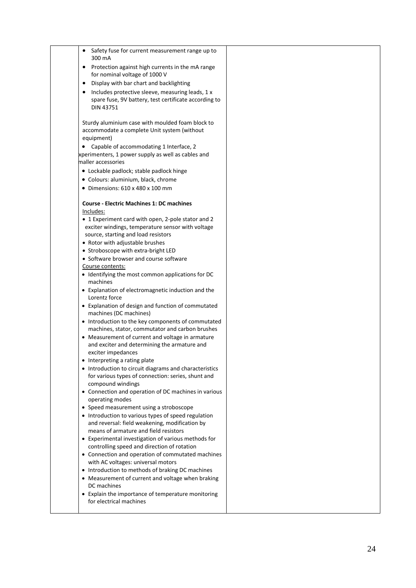| Safety fuse for current measurement range up to<br>300 mA                                                              |  |
|------------------------------------------------------------------------------------------------------------------------|--|
| Protection against high currents in the mA range<br>$\bullet$<br>for nominal voltage of 1000 V                         |  |
| Display with bar chart and backlighting<br>٠                                                                           |  |
| Includes protective sleeve, measuring leads, 1 x<br>spare fuse, 9V battery, test certificate according to<br>DIN 43751 |  |
| Sturdy aluminium case with moulded foam block to<br>accommodate a complete Unit system (without<br>equipment)          |  |
| • Capable of accommodating 1 Interface, 2                                                                              |  |
| xperimenters, 1 power supply as well as cables and                                                                     |  |
| maller accessories                                                                                                     |  |
| • Lockable padlock; stable padlock hinge                                                                               |  |
| • Colours: aluminium, black, chrome                                                                                    |  |
| $\bullet$ Dimensions: 610 x 480 x 100 mm                                                                               |  |
| <b>Course - Electric Machines 1: DC machines</b>                                                                       |  |
| Includes:                                                                                                              |  |
| • 1 Experiment card with open, 2-pole stator and 2                                                                     |  |
| exciter windings, temperature sensor with voltage                                                                      |  |
| source, starting and load resistors                                                                                    |  |
| • Rotor with adjustable brushes                                                                                        |  |
| • Stroboscope with extra-bright LED                                                                                    |  |
| • Software browser and course software                                                                                 |  |
| Course contents:<br>• Identifying the most common applications for DC                                                  |  |
| machines                                                                                                               |  |
| • Explanation of electromagnetic induction and the<br>Lorentz force                                                    |  |
| • Explanation of design and function of commutated<br>machines (DC machines)                                           |  |
| • Introduction to the key components of commutated<br>machines, stator, commutator and carbon brushes                  |  |
| • Measurement of current and voltage in armature                                                                       |  |
| and exciter and determining the armature and<br>exciter impedances                                                     |  |
| • Interpreting a rating plate                                                                                          |  |
| • Introduction to circuit diagrams and characteristics<br>for various types of connection: series, shunt and           |  |
| compound windings<br>• Connection and operation of DC machines in various<br>operating modes                           |  |
| • Speed measurement using a stroboscope                                                                                |  |
| • Introduction to various types of speed regulation<br>and reversal: field weakening, modification by                  |  |
| means of armature and field resistors                                                                                  |  |
| • Experimental investigation of various methods for<br>controlling speed and direction of rotation                     |  |
| • Connection and operation of commutated machines<br>with AC voltages: universal motors                                |  |
| • Introduction to methods of braking DC machines                                                                       |  |
| • Measurement of current and voltage when braking<br>DC machines                                                       |  |
| • Explain the importance of temperature monitoring<br>for electrical machines                                          |  |
|                                                                                                                        |  |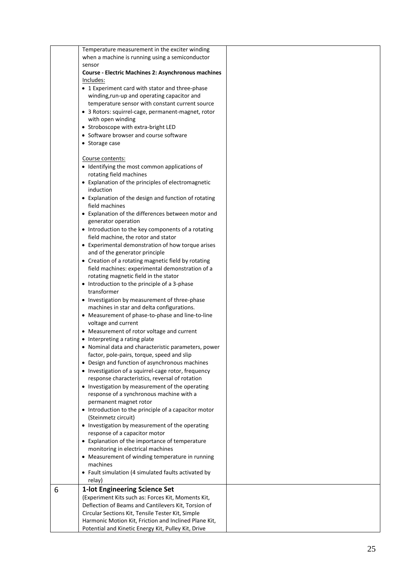|   | Temperature measurement in the exciter winding             |  |
|---|------------------------------------------------------------|--|
|   | when a machine is running using a semiconductor            |  |
|   | sensor                                                     |  |
|   | <b>Course - Electric Machines 2: Asynchronous machines</b> |  |
|   | Includes:                                                  |  |
|   | • 1 Experiment card with stator and three-phase            |  |
|   |                                                            |  |
|   | winding, run-up and operating capacitor and                |  |
|   | temperature sensor with constant current source            |  |
|   | · 3 Rotors: squirrel-cage, permanent-magnet, rotor         |  |
|   | with open winding                                          |  |
|   | • Stroboscope with extra-bright LED                        |  |
|   | • Software browser and course software                     |  |
|   | • Storage case                                             |  |
|   |                                                            |  |
|   | Course contents:                                           |  |
|   |                                                            |  |
|   | • Identifying the most common applications of              |  |
|   | rotating field machines                                    |  |
|   | • Explanation of the principles of electromagnetic         |  |
|   | induction                                                  |  |
|   | • Explanation of the design and function of rotating       |  |
|   | field machines                                             |  |
|   | • Explanation of the differences between motor and         |  |
|   | generator operation                                        |  |
|   | • Introduction to the key components of a rotating         |  |
|   | field machine, the rotor and stator                        |  |
|   |                                                            |  |
|   | • Experimental demonstration of how torque arises          |  |
|   | and of the generator principle                             |  |
|   | • Creation of a rotating magnetic field by rotating        |  |
|   | field machines: experimental demonstration of a            |  |
|   | rotating magnetic field in the stator                      |  |
|   | • Introduction to the principle of a 3-phase               |  |
|   | transformer                                                |  |
|   | • Investigation by measurement of three-phase              |  |
|   | machines in star and delta configurations.                 |  |
|   | • Measurement of phase-to-phase and line-to-line           |  |
|   | voltage and current                                        |  |
|   | • Measurement of rotor voltage and current                 |  |
|   |                                                            |  |
|   | • Interpreting a rating plate                              |  |
|   | • Nominal data and characteristic parameters, power        |  |
|   | factor, pole-pairs, torque, speed and slip                 |  |
|   | • Design and function of asynchronous machines             |  |
|   | • Investigation of a squirrel-cage rotor, frequency        |  |
|   | response characteristics, reversal of rotation             |  |
|   | • Investigation by measurement of the operating            |  |
|   | response of a synchronous machine with a                   |  |
|   | permanent magnet rotor                                     |  |
|   | • Introduction to the principle of a capacitor motor       |  |
|   | (Steinmetz circuit)                                        |  |
|   |                                                            |  |
|   | • Investigation by measurement of the operating            |  |
|   | response of a capacitor motor                              |  |
|   | • Explanation of the importance of temperature             |  |
|   | monitoring in electrical machines                          |  |
|   | • Measurement of winding temperature in running            |  |
|   | machines                                                   |  |
|   | • Fault simulation (4 simulated faults activated by        |  |
|   | relay)                                                     |  |
| 6 | 1-lot Engineering Science Set                              |  |
|   | (Experiment Kits such as: Forces Kit, Moments Kit,         |  |
|   |                                                            |  |
|   | Deflection of Beams and Cantilevers Kit, Torsion of        |  |
|   | Circular Sections Kit, Tensile Tester Kit, Simple          |  |
|   | Harmonic Motion Kit, Friction and Inclined Plane Kit,      |  |
|   | Potential and Kinetic Energy Kit, Pulley Kit, Drive        |  |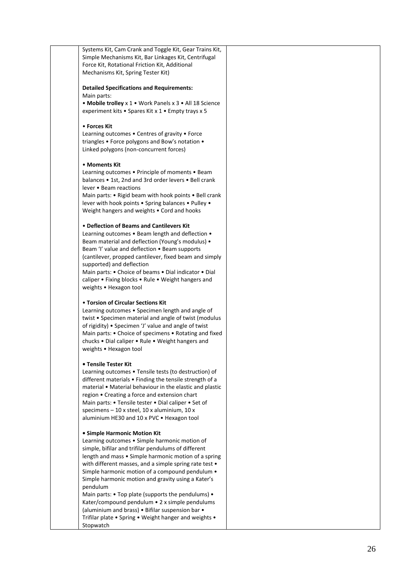Systems Kit, Cam Crank and Toggle Kit, Gear Trains Kit, Simple Mechanisms Kit, Bar Linkages Kit, Centrifugal Force Kit, Rotational Friction Kit, Additional Mechanisms Kit, Spring Tester Kit) **Detailed Specifications and Requirements:** Main parts: • **Mobile trolley** x 1 • Work Panels x 3 • All 18 Science experiment kits • Spares Kit x 1 • Empty trays x 5 • **Forces Kit** Learning outcomes • Centres of gravity • Force triangles • Force polygons and Bow's notation • Linked polygons (non -concurrent forces) • **Moments Kit** Learning outcomes • Principle of moments • Beam balances • 1st, 2nd and 3rd order levers • Bell crank lever • Beam reactions Main parts: • Rigid beam with hook points • Bell crank lever with hook points • Spring balances • Pulley • Weight hangers and weights • Cord and hooks • **Deflection of Beams and Cantilevers Kit** Learning outcomes • Beam length and deflection • Beam material and deflection (Young's modulus) • Beam 'I' value and deflection • Beam supports (cantilever, propped cantilever, fixed beam and simply supported) and deflection Main parts: • Choice of beams • Dial indicator • Dial caliper • Fixing blocks • Rule • Weight hangers and weights • Hexagon tool • **Torsion of Circular Sections Kit** Learning outcomes • Specimen length and angle of twist • Specimen material and angle of twist (modulus of rigidity) • Specimen 'J' value and angle of twist Main parts: • Choice of specimens • Rotating and fixed chucks • Dial caliper • Rule • Weight hangers and weights • Hexagon tool **• Tensile Tester Kit** Learning outcomes • Tensile tests (to destruction) of different materials • Finding the tensile strength of a material • Material behaviour in the elastic and plastic region • Creating a force and extension chart Main parts: • Tensile tester • Dial caliper • Set of specimens – 10 x steel, 10 x aluminium, 10 x aluminium HE30 and 10 x PVC • Hexagon tool **• Simple Harmonic Motion Kit** Learning outcomes • Simple harmonic motion of simple, bifilar and trifilar pendulums of different length and mass • Simple harmonic motion of a spring with different masses, and a simple spring rate test • Simple harmonic motion of a compound pendulum  $\bullet$ Simple harmonic motion and gravity using a Kater's pendulum Main parts: • Top plate (supports the pendulums) • Kater/compound pendulum • 2 x simple pendulums (aluminium and brass) • Bifilar suspension bar • Trifilar plate • Spring • Weight hanger and weights • **Stopwatch**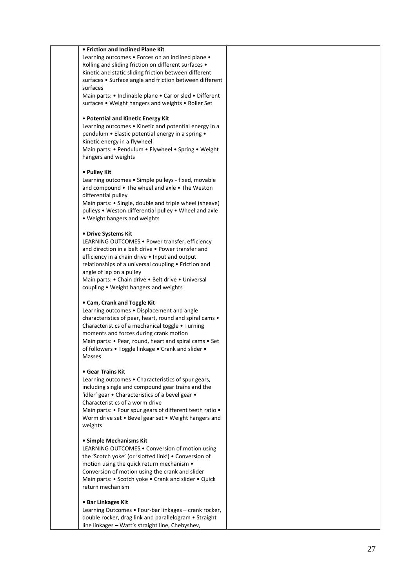#### **• Friction and Inclined Plane Kit**

Learning outcomes • Forces on an inclined plane • Rolling and sliding friction on different surfaces • Kinetic and static sliding friction between different surfaces • Surface angle and friction between different surfaces

Main parts: • Inclinable plane • Car or sled • Different surfaces • Weight hangers and weights • Roller Set

#### • **Potential and Kinetic Energy Kit**

Learning outcomes • Kinetic and potential energy in a pendulum • Elastic potential energy in a spring • Kinetic energy in a flywheel

Main parts: • Pendulum • Flywheel • Spring • Weight hangers and weights

#### **• Pulley Kit**

Learning outcomes • Simple pulleys - fixed, movable and compound • The wheel and axle • The Weston differential pulley

Main parts: • Single, double and triple wheel (sheave) pulleys • Weston differential pulley • Wheel and axle • Weight hangers and weights

#### **• Drive Systems Kit**

LEARNING OUTCOMES • Power transfer, efficiency and direction in a belt drive • Power transfer and efficiency in a chain drive • Input and output relationships of a universal coupling • Friction and angle of lap on a pulley

Main parts: • Chain drive • Belt drive • Universal coupling • Weight hangers and weights

#### **• Cam, Crank and Toggle Kit**

Learning outcomes • Displacement and angle characteristics of pear, heart, round and spiral cams • Characteristics of a mechanical toggle • Turning moments and forces during crank motion Main parts: • Pear, round, heart and spiral cams • Set of followers • Toggle linkage • Crank and slider • Masses

#### **• Gear Trains Kit**

Learning outcomes • Characteristics of spur gears, including single and compound gear trains and the 'idler' gear • Characteristics of a bevel gear • Characteristics of a worm drive Main parts: • Four spur gears of different teeth ratio • Worm drive set • Bevel gear set • Weight hangers and weights

#### **• Simple Mechanisms Kit**

LEARNING OUTCOMES • Conversion of motion using the 'Scotch yoke' (or 'slotted link') • Conversion of motion using the quick return mechanism • Conversion of motion using the crank and slider Main parts: • Scotch yoke • Crank and slider • Quick return mechanism

#### **• Bar Linkages Kit**

Learning Outcomes · Four-bar linkages - crank rocker, double rocker, drag link and parallelogram • Straight line linkages – Watt's straight line, Chebyshev,